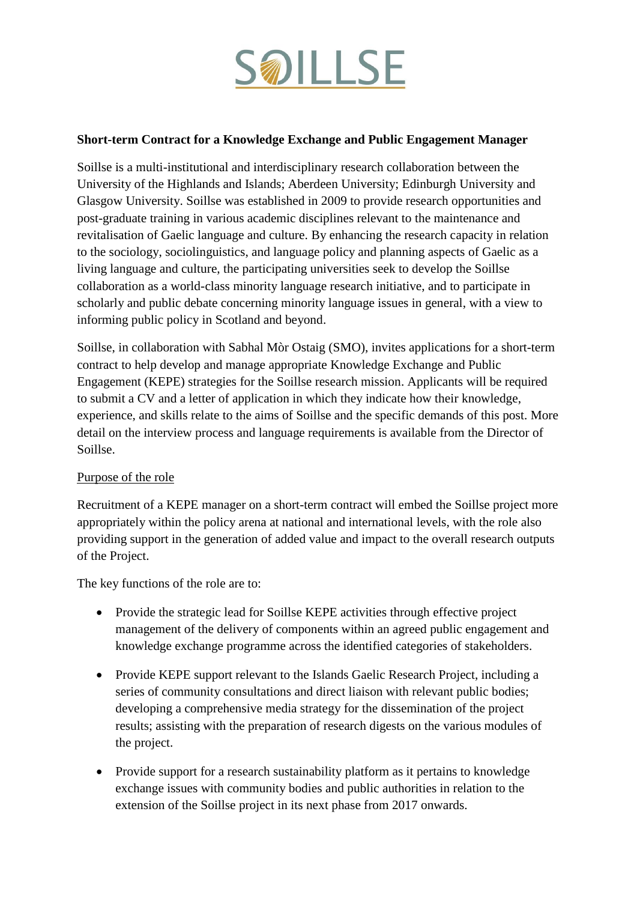

#### **Short-term Contract for a Knowledge Exchange and Public Engagement Manager**

Soillse is a multi-institutional and interdisciplinary research collaboration between the University of the Highlands and Islands; Aberdeen University; Edinburgh University and Glasgow University. Soillse was established in 2009 to provide research opportunities and post-graduate training in various academic disciplines relevant to the maintenance and revitalisation of Gaelic language and culture. By enhancing the research capacity in relation to the sociology, sociolinguistics, and language policy and planning aspects of Gaelic as a living language and culture, the participating universities seek to develop the Soillse collaboration as a world-class minority language research initiative, and to participate in scholarly and public debate concerning minority language issues in general, with a view to informing public policy in Scotland and beyond.

Soillse, in collaboration with Sabhal Mòr Ostaig (SMO), invites applications for a short-term contract to help develop and manage appropriate Knowledge Exchange and Public Engagement (KEPE) strategies for the Soillse research mission. Applicants will be required to submit a CV and a letter of application in which they indicate how their knowledge, experience, and skills relate to the aims of Soillse and the specific demands of this post. More detail on the interview process and language requirements is available from the Director of Soillse.

### Purpose of the role

Recruitment of a KEPE manager on a short-term contract will embed the Soillse project more appropriately within the policy arena at national and international levels, with the role also providing support in the generation of added value and impact to the overall research outputs of the Project.

The key functions of the role are to:

- Provide the strategic lead for Soillse KEPE activities through effective project management of the delivery of components within an agreed public engagement and knowledge exchange programme across the identified categories of stakeholders.
- Provide KEPE support relevant to the Islands Gaelic Research Project, including a series of community consultations and direct liaison with relevant public bodies; developing a comprehensive media strategy for the dissemination of the project results; assisting with the preparation of research digests on the various modules of the project.
- Provide support for a research sustainability platform as it pertains to knowledge exchange issues with community bodies and public authorities in relation to the extension of the Soillse project in its next phase from 2017 onwards.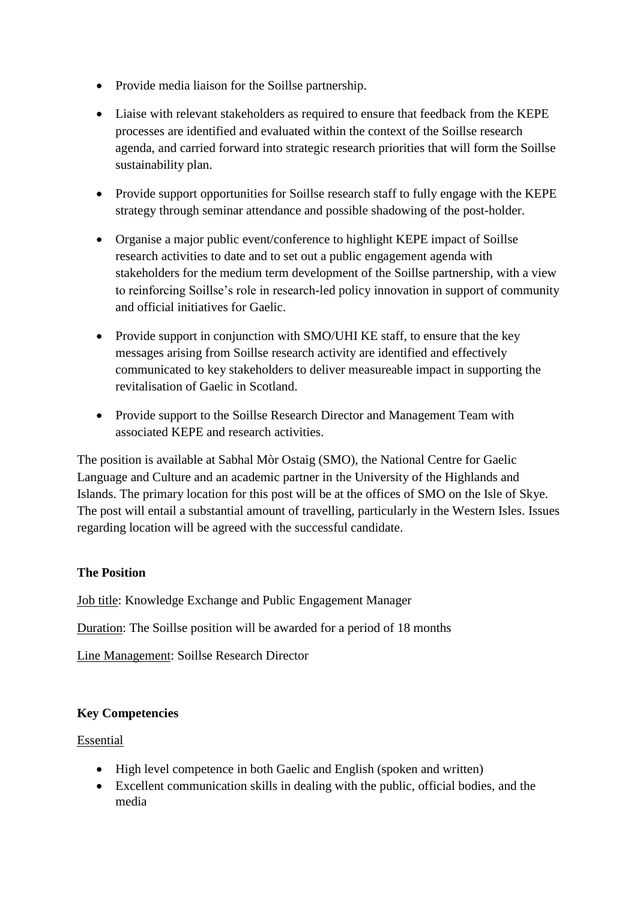- Provide media liaison for the Soillse partnership.
- Liaise with relevant stakeholders as required to ensure that feedback from the KEPE processes are identified and evaluated within the context of the Soillse research agenda, and carried forward into strategic research priorities that will form the Soillse sustainability plan.
- Provide support opportunities for Soillse research staff to fully engage with the KEPE strategy through seminar attendance and possible shadowing of the post-holder.
- Organise a major public event/conference to highlight KEPE impact of Soillse research activities to date and to set out a public engagement agenda with stakeholders for the medium term development of the Soillse partnership, with a view to reinforcing Soillse's role in research-led policy innovation in support of community and official initiatives for Gaelic.
- Provide support in conjunction with SMO/UHI KE staff, to ensure that the key messages arising from Soillse research activity are identified and effectively communicated to key stakeholders to deliver measureable impact in supporting the revitalisation of Gaelic in Scotland.
- Provide support to the Soillse Research Director and Management Team with associated KEPE and research activities.

The position is available at Sabhal Mòr Ostaig (SMO), the National Centre for Gaelic Language and Culture and an academic partner in the University of the Highlands and Islands. The primary location for this post will be at the offices of SMO on the Isle of Skye. The post will entail a substantial amount of travelling, particularly in the Western Isles. Issues regarding location will be agreed with the successful candidate.

# **The Position**

Job title: Knowledge Exchange and Public Engagement Manager

Duration: The Soillse position will be awarded for a period of 18 months

Line Management: Soillse Research Director

# **Key Competencies**

### Essential

- High level competence in both Gaelic and English (spoken and written)
- Excellent communication skills in dealing with the public, official bodies, and the media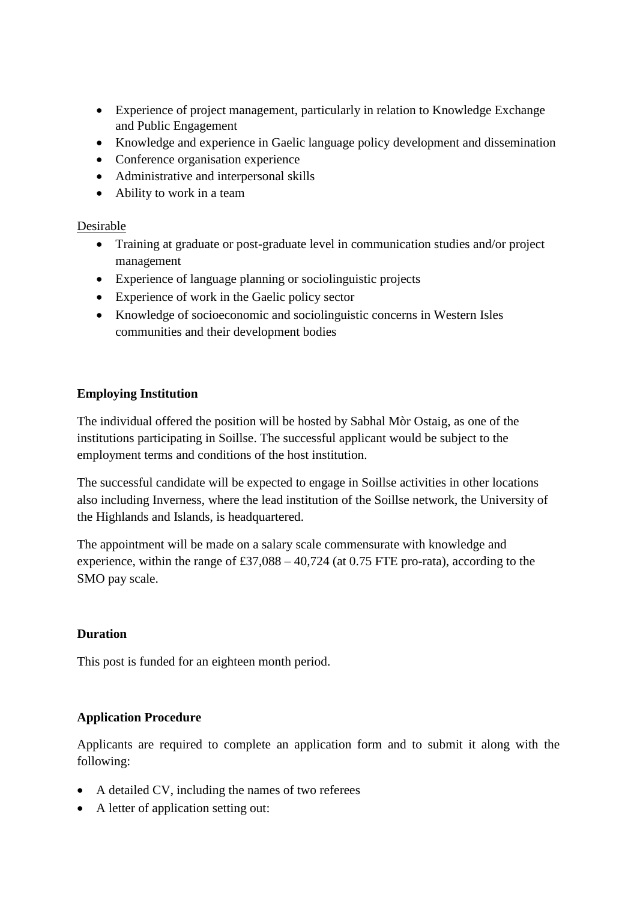- Experience of project management, particularly in relation to Knowledge Exchange and Public Engagement
- Knowledge and experience in Gaelic language policy development and dissemination
- Conference organisation experience
- Administrative and interpersonal skills
- Ability to work in a team

#### Desirable

- Training at graduate or post-graduate level in communication studies and/or project management
- Experience of language planning or sociolinguistic projects
- Experience of work in the Gaelic policy sector
- Knowledge of socioeconomic and sociolinguistic concerns in Western Isles communities and their development bodies

### **Employing Institution**

The individual offered the position will be hosted by Sabhal Mòr Ostaig, as one of the institutions participating in Soillse. The successful applicant would be subject to the employment terms and conditions of the host institution.

The successful candidate will be expected to engage in Soillse activities in other locations also including Inverness, where the lead institution of the Soillse network, the University of the Highlands and Islands, is headquartered.

The appointment will be made on a salary scale commensurate with knowledge and experience, within the range of  $£37,088 - 40,724$  (at 0.75 FTE pro-rata), according to the SMO pay scale.

### **Duration**

This post is funded for an eighteen month period.

### **Application Procedure**

Applicants are required to complete an application form and to submit it along with the following:

- A detailed CV, including the names of two referees
- A letter of application setting out: